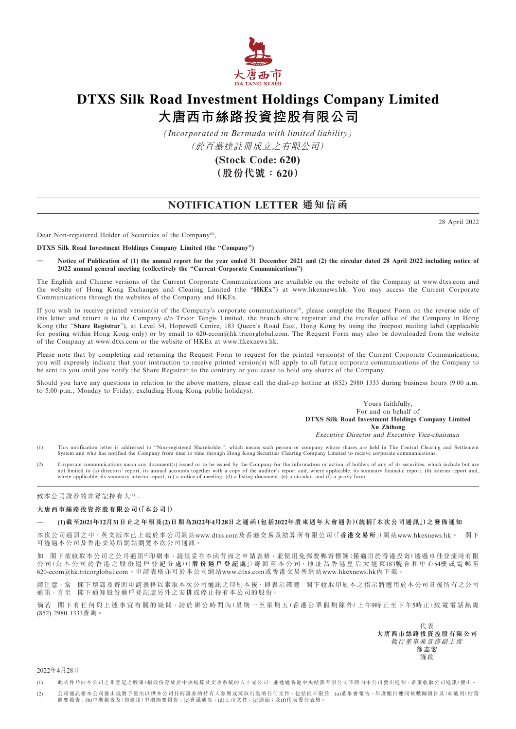

# **DTXS Silk Road Investment Holdings Company Limited** 大唐西市絲路投資控股有限公司

*(Incorporated in Bermuda with limited liability)* (於百慕達註冊成立之有限公司)

> **(Stock Code: 620) (股份代號:620)**

## **NOTIFICATION LETTER 通知信函**

28 April 2022

Dear Non-registered Holder of Securities of the Company<sup>(1)</sup>,

**DTXS Silk Road Investment Holdings Company Limited (the "Company")**

**— Notice of Publication of (1) the annual report for the year ended 31 December 2021 and (2) the circular dated 28 April 2022 including notice of 2022 annual general meeting (collectively the "Current Corporate Communications")**

The English and Chinese versions of the Current Corporate Communications are available on the website of the Company at www.dtxs.com and the website of Hong Kong Exchanges and Clearing Limited (the "**HKEx**") at www.hkexnews.hk. You may access the Current Corporate Communications through the websites of the Company and HKEx.

If you wish to receive printed version(s) of the Company's corporate communications<sup>(2)</sup>, please complete the Request Form on the reverse side of this letter and return it to the Company c/o Tricor Tengis Limited, the branch share registrar and the transfer office of the Company in Hong Kong (the "**Share Registrar**"), at Level 54, Hopewell Centre, 183 Queen's Road East, Hong Kong by using the freepost mailing label (applicable for posting within Hong Kong only) or by email to 620-ecom@hk.tricorglobal.com. The Request Form may also be downloaded from the website of the Company at www.dtxs.com or the website of HKEx at www.hkexnews.hk.

Please note that by completing and returning the Request Form to request for the printed version(s) of the Current Corporate Communications, you will expressly indicate that your instruction to receive printed version(s) will apply to all future corporate communications of the Company to be sent to you until you notify the Share Registrar to the contrary or you cease to hold any shares of the Company.

Should you have any questions in relation to the above matters, please call the dial-up hotline at (852) 2980 1333 during business hours (9:00 a.m. to 5:00 p.m., Monday to Friday, excluding Hong Kong public holidays).

> Yours faithfully, For and on behalf of **DTXS Silk Road Investment Holdings Company Limited Xu Zhihong**

Executive Director and Executive Vice-chairman

- (1) This notification letter is addressed to "Non-registered Shareholder", which means such person or company whose shares are held in The Central Clearing and Settlement<br>System and who has notified the Company from time t
- (2) Corporate communications mean any document(s) issued or to be issued by the Company for the information or action of holders of any of its securities, which include but are not limited to (a) directors' report, its annual accounts together with a copy of the auditor's report and, where applicable, its summary financial report; (b) interim report and, where applicable, its summary interim repo

致本公司證券的非登記持有人(1):

### **大唐西市絲路投資控股有限公司(「本公司」)**

#### **— (1)截至2021年12月31日止之年報及(2)日期為2022年4月28日之通函(包括2022年股東週年大會通告)(統稱「本次公司通訊」)之發佈通知**

本次公司通訊之中、英文版本已上載於本公司網站<www.dtxs.com>及香港交易及結算所有限公司(「**香港交易所**」)網站<www.hkexnews.hk>。 閣下 可透過本公司及香港交易所網站瀏覽本次公司通訊。

如 閣下欲收取本公司之公司通訊<sup>(2)</sup>印刷本,請填妥在本函背面之申請表格,並使用免郵費郵寄標籤(僅適用於香港投寄)透過卓佳登捷時有限 公 司(為 本 公 司 於 香 港 之 股 份 過 戶 登 記 分 處)(「**股份過戶登記處**」)寄 回 至 本 公 司,地 址 為 香 港 皇 后 大 道 東183號合和中心54樓或電郵至 [620-ecom@hk.tricorglobal.com](mailto:620-ecom@hk.tricorglobal.com)。申請表格亦可於本公司網站<www.dtxs.com>或香港交易所網站<www.hkexnews.hk>內下載。

請注意,當 閣下填寫及寄回申請表格以索取本次公司通訊之印刷本後,即表示確認 閣下收取印刷本之指示將適用於本公司日後所有之公司 通訊,直至 閣下通知股份過戶登記處另外之安排或停止持有本公司的股份。

倘若 閣下有任何與上述事宜有關的疑問,請於辦公時間內(星期一至星期五(香港公眾假期除外)上午9時正至下午5時正)致電電話熱線  $(852)$  2980 1333杳 詢。

> 代表 **大唐西市絲路投資控股有限公司** 執行董事兼常務副主席 **徐志宏** 謹啟

2022年4月28日

(1) 此函件乃向本公司之非登記之股東(指股份存放於中央結算及交收系統的人士或公司,並透過香港中央結算有限公司不時向本公司發出通知,希望收取公司通訊)發出。

(2) 公司通訊指本公司發出或將予發出以供本公司任何證券的持有人參照或採取行動的任何文件,包括但不限於:(a)董事會報告、年度賬目連同核數師報告及(如適用)財務 摘要報告;(b)中期報告及(如適用)中期摘要報告;(c)會議通告;(d)上市文件;(e)通函;及(f)代表委任表格。